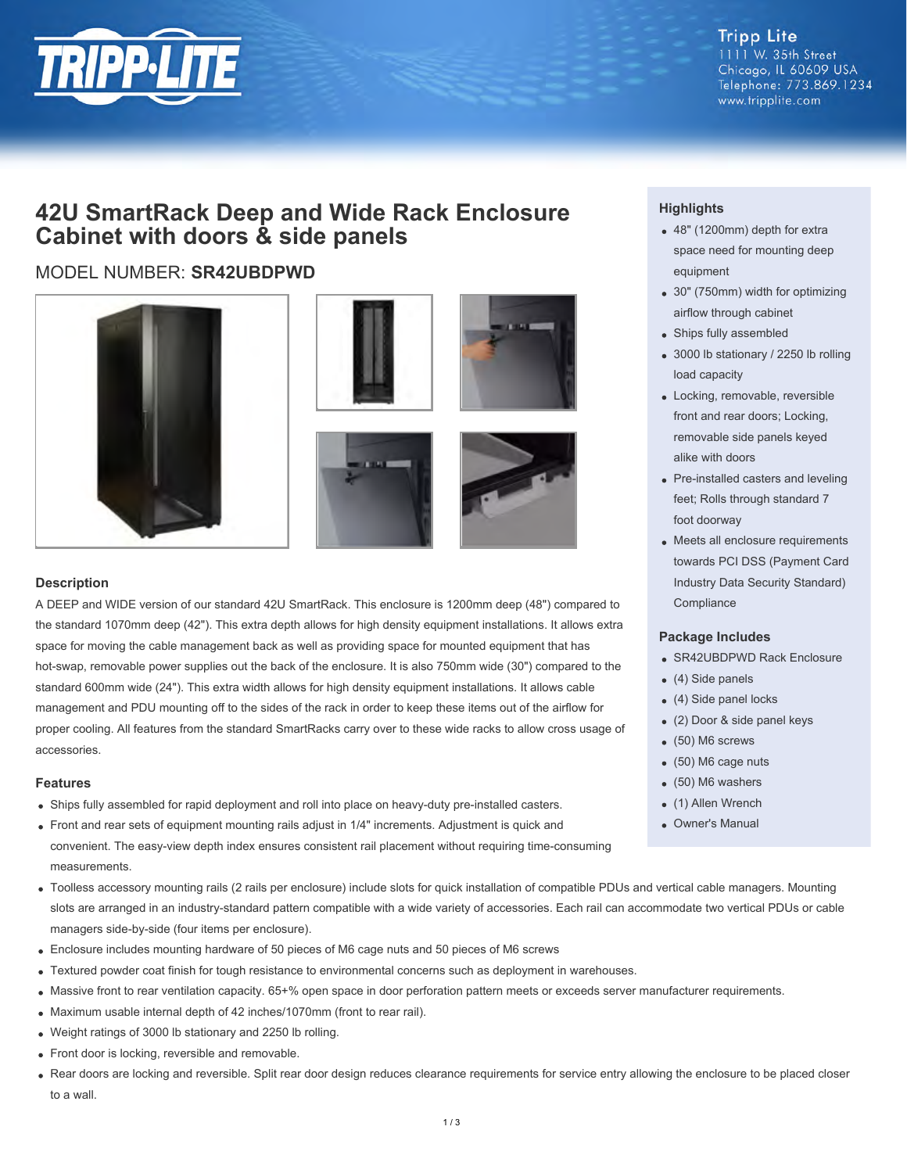

**Tripp Lite** 1111 W. 35th Street Chicago, IL 60609 USA Telephone: 773.869.1234 www.tripplite.com

## **42U SmartRack Deep and Wide Rack Enclosure Cabinet with doors & side panels**

### MODEL NUMBER: **SR42UBDPWD**









#### **Description**

A DEEP and WIDE version of our standard 42U SmartRack. This enclosure is 1200mm deep (48") compared to the standard 1070mm deep (42"). This extra depth allows for high density equipment installations. It allows extra space for moving the cable management back as well as providing space for mounted equipment that has hot-swap, removable power supplies out the back of the enclosure. It is also 750mm wide (30") compared to the standard 600mm wide (24"). This extra width allows for high density equipment installations. It allows cable management and PDU mounting off to the sides of the rack in order to keep these items out of the airflow for proper cooling. All features from the standard SmartRacks carry over to these wide racks to allow cross usage of accessories.

#### **Features**

- Ships fully assembled for rapid deployment and roll into place on heavy-duty pre-installed casters.
- Front and rear sets of equipment mounting rails adjust in 1/4" increments. Adjustment is quick and convenient. The easy-view depth index ensures consistent rail placement without requiring time-consuming measurements.
- Toolless accessory mounting rails (2 rails per enclosure) include slots for quick installation of compatible PDUs and vertical cable managers. Mounting slots are arranged in an industry-standard pattern compatible with a wide variety of accessories. Each rail can accommodate two vertical PDUs or cable managers side-by-side (four items per enclosure).
- Enclosure includes mounting hardware of 50 pieces of M6 cage nuts and 50 pieces of M6 screws
- Textured powder coat finish for tough resistance to environmental concerns such as deployment in warehouses.
- Massive front to rear ventilation capacity. 65+% open space in door perforation pattern meets or exceeds server manufacturer requirements.
- Maximum usable internal depth of 42 inches/1070mm (front to rear rail).
- Weight ratings of 3000 lb stationary and 2250 lb rolling.
- Front door is locking, reversible and removable.
- Rear doors are locking and reversible. Split rear door design reduces clearance requirements for service entry allowing the enclosure to be placed closer to a wall.

#### **Highlights**

- 48" (1200mm) depth for extra space need for mounting deep equipment
- 30" (750mm) width for optimizing airflow through cabinet
- Ships fully assembled
- 3000 lb stationary / 2250 lb rolling load capacity
- Locking, removable, reversible front and rear doors; Locking, removable side panels keyed alike with doors
- Pre-installed casters and leveling feet; Rolls through standard 7 foot doorway
- Meets all enclosure requirements towards PCI DSS (Payment Card Industry Data Security Standard) **Compliance**

#### **Package Includes**

- SR42UBDPWD Rack Enclosure
- (4) Side panels
- (4) Side panel locks
- (2) Door & side panel keys
- (50) M6 screws
- (50) M6 cage nuts
- (50) M6 washers
- (1) Allen Wrench
- Owner's Manual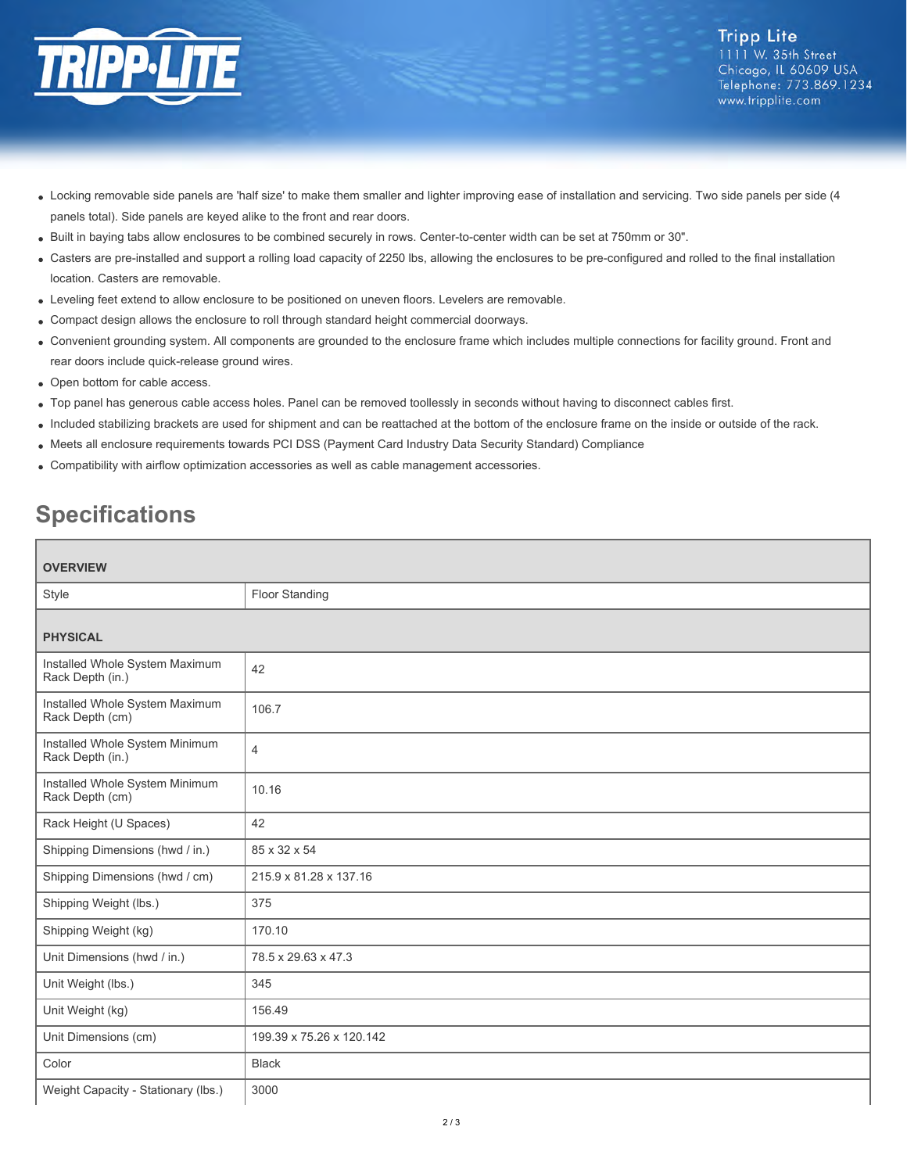

- Locking removable side panels are 'half size' to make them smaller and lighter improving ease of installation and servicing. Two side panels per side (4 panels total). Side panels are keyed alike to the front and rear doors.
- Built in baying tabs allow enclosures to be combined securely in rows. Center-to-center width can be set at 750mm or 30".
- Casters are pre-installed and support a rolling load capacity of 2250 lbs, allowing the enclosures to be pre-configured and rolled to the final installation location. Casters are removable.
- Leveling feet extend to allow enclosure to be positioned on uneven floors. Levelers are removable.
- Compact design allows the enclosure to roll through standard height commercial doorways.
- Convenient grounding system. All components are grounded to the enclosure frame which includes multiple connections for facility ground. Front and rear doors include quick-release ground wires.
- Open bottom for cable access.
- Top panel has generous cable access holes. Panel can be removed toollessly in seconds without having to disconnect cables first.
- Included stabilizing brackets are used for shipment and can be reattached at the bottom of the enclosure frame on the inside or outside of the rack.
- Meets all enclosure requirements towards PCI DSS (Payment Card Industry Data Security Standard) Compliance
- Compatibility with airflow optimization accessories as well as cable management accessories.

# **Specifications**

| <b>OVERVIEW</b>                                    |                          |
|----------------------------------------------------|--------------------------|
| Style                                              | Floor Standing           |
| <b>PHYSICAL</b>                                    |                          |
| Installed Whole System Maximum<br>Rack Depth (in.) | 42                       |
| Installed Whole System Maximum<br>Rack Depth (cm)  | 106.7                    |
| Installed Whole System Minimum<br>Rack Depth (in.) | $\overline{4}$           |
| Installed Whole System Minimum<br>Rack Depth (cm)  | 10.16                    |
| Rack Height (U Spaces)                             | 42                       |
| Shipping Dimensions (hwd / in.)                    | 85 x 32 x 54             |
| Shipping Dimensions (hwd / cm)                     | 215.9 x 81.28 x 137.16   |
| Shipping Weight (lbs.)                             | 375                      |
| Shipping Weight (kg)                               | 170.10                   |
| Unit Dimensions (hwd / in.)                        | 78.5 x 29.63 x 47.3      |
| Unit Weight (lbs.)                                 | 345                      |
| Unit Weight (kg)                                   | 156.49                   |
| Unit Dimensions (cm)                               | 199.39 x 75.26 x 120.142 |
| Color                                              | <b>Black</b>             |
| Weight Capacity - Stationary (lbs.)                | 3000                     |